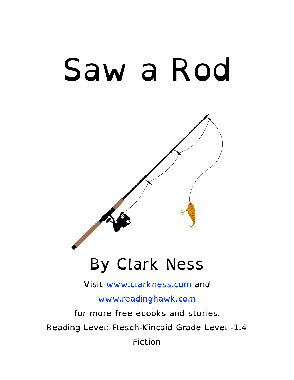# Saw a Rod

# By Clark Ness

#### Visit [www.clarkness.com](http://www.clarkness.com) and

#### [www.readinghawk.com](http://www.readinghawk.com)

for more free ebooks and stories. Reading Level: Flesch-Kincaid Grade Level -1.4 Fiction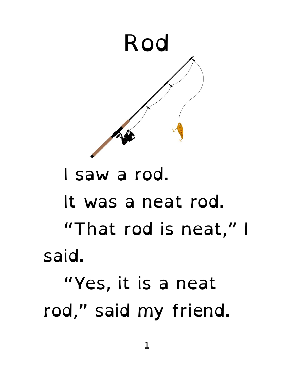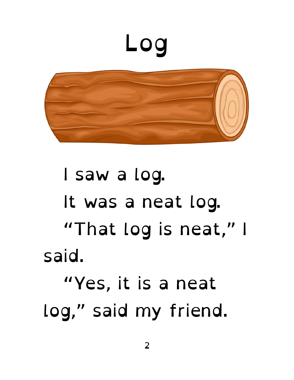



### I saw a log. It was a neat log. "That log is neat," I said. "Yes, it is a neat log," said my friend.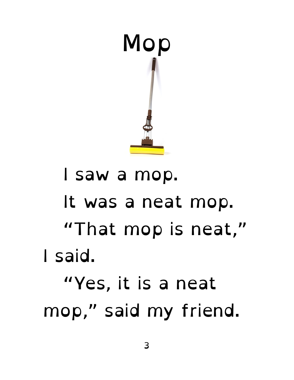

### I saw a mop. It was a neat mop. "That mop is neat," I said. "Yes, it is a neat mop," said my friend.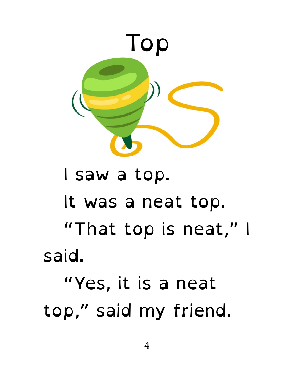

#### I saw a top. It was a neat top. "That top is neat," I said. "Yes, it is a neat top," said my friend.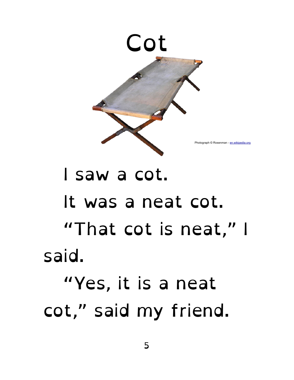

#### I saw a cot. It was a neat cot. "That cot is neat," I said. "Yes, it is a neat cot," said my friend.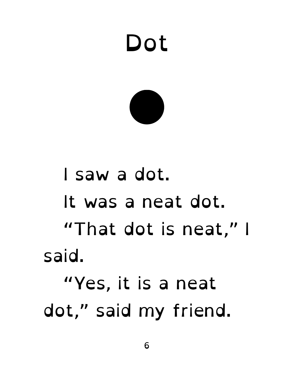# Dot

## I saw a dot. It was a neat dot. "That dot is neat," I said. "Yes, it is a neat dot," said my friend.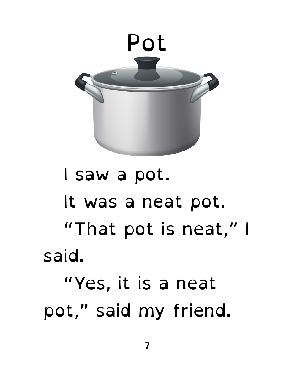

#### I saw a pot. It was a neat pot. "That pot is neat," I said. "Yes, it is a neat pot," said my friend.